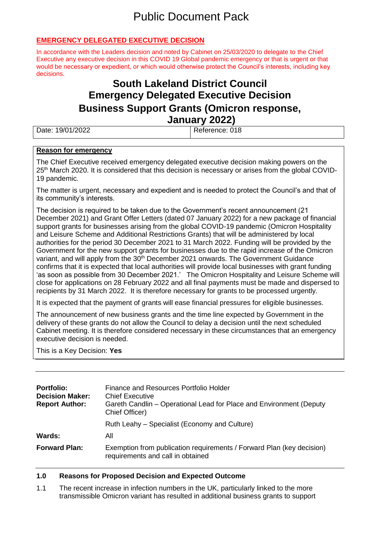# Public Document Pack

## **EMERGENCY DELEGATED EXECUTIVE DECISION**

In accordance with the Leaders decision and noted by Cabinet on 25/03/2020 to delegate to the Chief Executive any executive decision in this COVID 19 Global pandemic emergency or that is urgent or that would be necessary or expedient, or which would otherwise protect the Council's interests, including key decisions.

## **South Lakeland District Council Emergency Delegated Executive Decision Business Support Grants (Omicron response, January 2022)**

| Date: 19/01/2022 | Reference: 018 |  |
|------------------|----------------|--|
|                  |                |  |

#### **Reason for emergency**

The Chief Executive received emergency delegated executive decision making powers on the 25<sup>th</sup> March 2020. It is considered that this decision is necessary or arises from the global COVID-19 pandemic.

The matter is urgent, necessary and expedient and is needed to protect the Council's and that of its community's interests.

The decision is required to be taken due to the Government's recent announcement (21 December 2021) and Grant Offer Letters (dated 07 January 2022) for a new package of financial support grants for businesses arising from the global COVID-19 pandemic (Omicron Hospitality and Leisure Scheme and Additional Restrictions Grants) that will be administered by local authorities for the period 30 December 2021 to 31 March 2022. Funding will be provided by the Government for the new support grants for businesses due to the rapid increase of the Omicron variant, and will apply from the 30<sup>th</sup> December 2021 onwards. The Government Guidance confirms that it is expected that local authorities will provide local businesses with grant funding 'as soon as possible from 30 December 2021.' The Omicron Hospitality and Leisure Scheme will close for applications on 28 February 2022 and all final payments must be made and dispersed to recipients by 31 March 2022. It is therefore necessary for grants to be processed urgently.

It is expected that the payment of grants will ease financial pressures for eligible businesses.

The announcement of new business grants and the time line expected by Government in the delivery of these grants do not allow the Council to delay a decision until the next scheduled Cabinet meeting. It is therefore considered necessary in these circumstances that an emergency executive decision is needed.

This is a Key Decision: **Yes**

| <b>Portfolio:</b><br><b>Decision Maker:</b><br><b>Report Author:</b> | Finance and Resources Portfolio Holder<br><b>Chief Executive</b><br>Gareth Candlin - Operational Lead for Place and Environment (Deputy<br>Chief Officer) |
|----------------------------------------------------------------------|-----------------------------------------------------------------------------------------------------------------------------------------------------------|
|                                                                      | Ruth Leahy – Specialist (Economy and Culture)                                                                                                             |
| <b>Wards:</b>                                                        | All                                                                                                                                                       |
| <b>Forward Plan:</b>                                                 | Exemption from publication requirements / Forward Plan (key decision)<br>requirements and call in obtained                                                |

#### **1.0 Reasons for Proposed Decision and Expected Outcome**

1.1 The recent increase in infection numbers in the UK, particularly linked to the more transmissible Omicron variant has resulted in additional business grants to support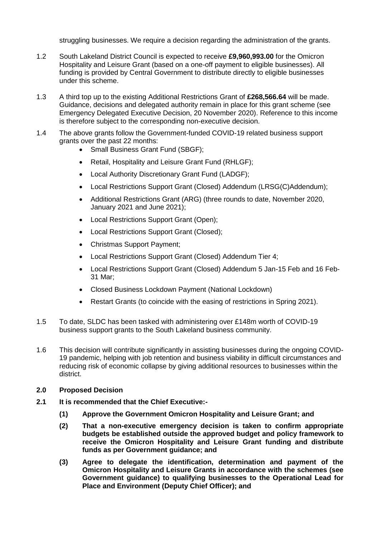struggling businesses. We require a decision regarding the administration of the grants.

- 1.2 South Lakeland District Council is expected to receive **£9,960,993.00** for the Omicron Hospitality and Leisure Grant (based on a one-off payment to eligible businesses). All funding is provided by Central Government to distribute directly to eligible businesses under this scheme.
- 1.3 A third top up to the existing Additional Restrictions Grant of **£268,566.64** will be made. Guidance, decisions and delegated authority remain in place for this grant scheme (see Emergency Delegated Executive Decision, 20 November 2020). Reference to this income is therefore subject to the corresponding non-executive decision.
- 1.4 The above grants follow the Government-funded COVID-19 related business support grants over the past 22 months:
	- Small Business Grant Fund (SBGF);
	- Retail, Hospitality and Leisure Grant Fund (RHLGF);
	- Local Authority Discretionary Grant Fund (LADGF);
	- Local Restrictions Support Grant (Closed) Addendum (LRSG(C)Addendum);
	- Additional Restrictions Grant (ARG) (three rounds to date, November 2020, January 2021 and June 2021);
	- Local Restrictions Support Grant (Open);
	- Local Restrictions Support Grant (Closed);
	- Christmas Support Payment;
	- Local Restrictions Support Grant (Closed) Addendum Tier 4;
	- Local Restrictions Support Grant (Closed) Addendum 5 Jan-15 Feb and 16 Feb-31 Mar;
	- Closed Business Lockdown Payment (National Lockdown)
	- Restart Grants (to coincide with the easing of restrictions in Spring 2021).
- 1.5 To date, SLDC has been tasked with administering over £148m worth of COVID-19 business support grants to the South Lakeland business community.
- 1.6 This decision will contribute significantly in assisting businesses during the ongoing COVID-19 pandemic, helping with job retention and business viability in difficult circumstances and reducing risk of economic collapse by giving additional resources to businesses within the district.
- **2.0 Proposed Decision**
- **2.1 It is recommended that the Chief Executive:-**
	- **(1) Approve the Government Omicron Hospitality and Leisure Grant; and**
	- **(2) That a non-executive emergency decision is taken to confirm appropriate budgets be established outside the approved budget and policy framework to receive the Omicron Hospitality and Leisure Grant funding and distribute funds as per Government guidance; and**
	- **(3) Agree to delegate the identification, determination and payment of the Omicron Hospitality and Leisure Grants in accordance with the schemes (see Government guidance) to qualifying businesses to the Operational Lead for Place and Environment (Deputy Chief Officer); and**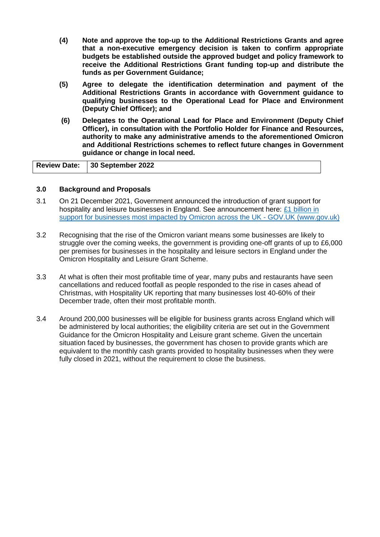- **(4) Note and approve the top-up to the Additional Restrictions Grants and agree that a non-executive emergency decision is taken to confirm appropriate budgets be established outside the approved budget and policy framework to receive the Additional Restrictions Grant funding top-up and distribute the funds as per Government Guidance;**
- **(5) Agree to delegate the identification determination and payment of the Additional Restrictions Grants in accordance with Government guidance to qualifying businesses to the Operational Lead for Place and Environment (Deputy Chief Officer); and**
- **(6) Delegates to the Operational Lead for Place and Environment (Deputy Chief Officer), in consultation with the Portfolio Holder for Finance and Resources, authority to make any administrative amends to the aforementioned Omicron and Additional Restrictions schemes to reflect future changes in Government guidance or change in local need.**

| Review Date: 30 September 2022 |
|--------------------------------|
|--------------------------------|

#### **3.0 Background and Proposals**

- 3.1 On 21 December 2021, Government announced the introduction of grant support for hospitality and leisure businesses in England. See announcement here:  $£1$  billion in [support for businesses most impacted by Omicron across the UK -](https://www.gov.uk/government/news/1-billion-in-support-for-businesses-most-impacted-by-omicron-across-the-uk) GOV.UK (www.gov.uk)
- 3.2 Recognising that the rise of the Omicron variant means some businesses are likely to struggle over the coming weeks, the government is providing one-off grants of up to £6,000 per premises for businesses in the hospitality and leisure sectors in England under the Omicron Hospitality and Leisure Grant Scheme.
- 3.3 At what is often their most profitable time of year, many pubs and restaurants have seen cancellations and reduced footfall as people responded to the rise in cases ahead of Christmas, with Hospitality UK reporting that many businesses lost 40-60% of their December trade, often their most profitable month.
- 3.4 Around 200,000 businesses will be eligible for business grants across England which will be administered by local authorities; the eligibility criteria are set out in the Government Guidance for the Omicron Hospitality and Leisure grant scheme. Given the uncertain situation faced by businesses, the government has chosen to provide grants which are equivalent to the monthly cash grants provided to hospitality businesses when they were fully closed in 2021, without the requirement to close the business.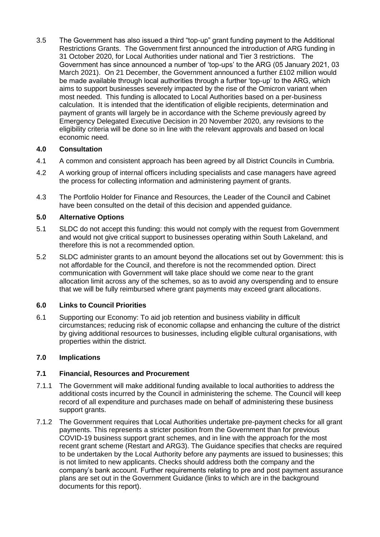3.5 The Government has also issued a third "top-up" grant funding payment to the Additional Restrictions Grants. The Government first announced the introduction of ARG funding in 31 October 2020, for Local Authorities under national and Tier 3 restrictions. The Government has since announced a number of 'top-ups' to the ARG (05 January 2021, 03 March 2021). On 21 December, the Government announced a further £102 million would be made available through local authorities through a further 'top-up' to the ARG, which aims to support businesses severely impacted by the rise of the Omicron variant when most needed. This funding is allocated to Local Authorities based on a per-business calculation. It is intended that the identification of eligible recipients, determination and payment of grants will largely be in accordance with the Scheme previously agreed by Emergency Delegated Executive Decision in 20 November 2020, any revisions to the eligibility criteria will be done so in line with the relevant approvals and based on local economic need.

#### **4.0 Consultation**

- 4.1 A common and consistent approach has been agreed by all District Councils in Cumbria.
- 4.2 A working group of internal officers including specialists and case managers have agreed the process for collecting information and administering payment of grants.
- 4.3 The Portfolio Holder for Finance and Resources, the Leader of the Council and Cabinet have been consulted on the detail of this decision and appended guidance.

#### **5.0 Alternative Options**

- 5.1 SLDC do not accept this funding: this would not comply with the request from Government and would not give critical support to businesses operating within South Lakeland, and therefore this is not a recommended option.
- 5.2 SLDC administer grants to an amount beyond the allocations set out by Government: this is not affordable for the Council, and therefore is not the recommended option. Direct communication with Government will take place should we come near to the grant allocation limit across any of the schemes, so as to avoid any overspending and to ensure that we will be fully reimbursed where grant payments may exceed grant allocations.

#### **6.0 Links to Council Priorities**

6.1 Supporting our Economy: To aid job retention and business viability in difficult circumstances; reducing risk of economic collapse and enhancing the culture of the district by giving additional resources to businesses, including eligible cultural organisations, with properties within the district.

#### **7.0 Implications**

#### **7.1 Financial, Resources and Procurement**

- 7.1.1 The Government will make additional funding available to local authorities to address the additional costs incurred by the Council in administering the scheme. The Council will keep record of all expenditure and purchases made on behalf of administering these business support grants.
- 7.1.2 The Government requires that Local Authorities undertake pre-payment checks for all grant payments. This represents a stricter position from the Government than for previous COVID-19 business support grant schemes, and in line with the approach for the most recent grant scheme (Restart and ARG3). The Guidance specifies that checks are required to be undertaken by the Local Authority before any payments are issued to businesses; this is not limited to new applicants. Checks should address both the company and the company's bank account. Further requirements relating to pre and post payment assurance plans are set out in the Government Guidance (links to which are in the background documents for this report).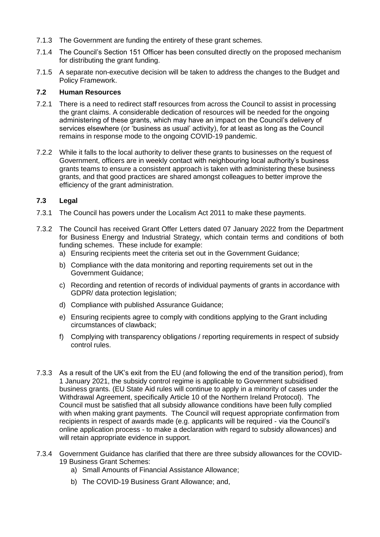- 7.1.3 The Government are funding the entirety of these grant schemes.
- 7.1.4 The Council's Section 151 Officer has been consulted directly on the proposed mechanism for distributing the grant funding.
- 7.1.5 A separate non-executive decision will be taken to address the changes to the Budget and Policy Framework.

#### **7.2 Human Resources**

- 7.2.1 There is a need to redirect staff resources from across the Council to assist in processing the grant claims. A considerable dedication of resources will be needed for the ongoing administering of these grants, which may have an impact on the Council's delivery of services elsewhere (or 'business as usual' activity), for at least as long as the Council remains in response mode to the ongoing COVID-19 pandemic.
- 7.2.2 While it falls to the local authority to deliver these grants to businesses on the request of Government, officers are in weekly contact with neighbouring local authority's business grants teams to ensure a consistent approach is taken with administering these business grants, and that good practices are shared amongst colleagues to better improve the efficiency of the grant administration.

#### **7.3 Legal**

- 7.3.1 The Council has powers under the Localism Act 2011 to make these payments.
- 7.3.2 The Council has received Grant Offer Letters dated 07 January 2022 from the Department for Business Energy and Industrial Strategy, which contain terms and conditions of both funding schemes. These include for example:
	- a) Ensuring recipients meet the criteria set out in the Government Guidance;
	- b) Compliance with the data monitoring and reporting requirements set out in the Government Guidance;
	- c) Recording and retention of records of individual payments of grants in accordance with GDPR/ data protection legislation;
	- d) Compliance with published Assurance Guidance;
	- e) Ensuring recipients agree to comply with conditions applying to the Grant including circumstances of clawback;
	- f) Complying with transparency obligations / reporting requirements in respect of subsidy control rules.
- 7.3.3 As a result of the UK's exit from the EU (and following the end of the transition period), from 1 January 2021, the subsidy control regime is applicable to Government subsidised business grants. (EU State Aid rules will continue to apply in a minority of cases under the Withdrawal Agreement, specifically Article 10 of the Northern Ireland Protocol). The Council must be satisfied that all subsidy allowance conditions have been fully complied with when making grant payments. The Council will request appropriate confirmation from recipients in respect of awards made (e.g. applicants will be required - via the Council's online application process - to make a declaration with regard to subsidy allowances) and will retain appropriate evidence in support.
- 7.3.4 Government Guidance has clarified that there are three subsidy allowances for the COVID-19 Business Grant Schemes:
	- a) Small Amounts of Financial Assistance Allowance;
	- b) The COVID-19 Business Grant Allowance; and,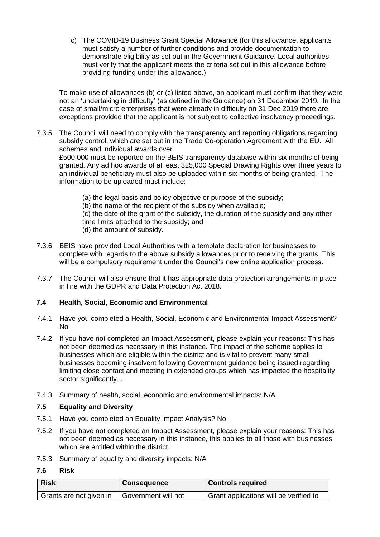c) The COVID-19 Business Grant Special Allowance (for this allowance, applicants must satisfy a number of further conditions and provide documentation to demonstrate eligibility as set out in the Government Guidance. Local authorities must verify that the applicant meets the criteria set out in this allowance before providing funding under this allowance.)

To make use of allowances (b) or (c) listed above, an applicant must confirm that they were not an 'undertaking in difficulty' (as defined in the Guidance) on 31 December 2019. In the case of small/micro enterprises that were already in difficulty on 31 Dec 2019 there are exceptions provided that the applicant is not subject to collective insolvency proceedings.

7.3.5 The Council will need to comply with the transparency and reporting obligations regarding subsidy control, which are set out in the Trade Co-operation Agreement with the EU. All schemes and individual awards over

£500,000 must be reported on the BEIS transparency database within six months of being granted. Any ad hoc awards of at least 325,000 Special Drawing Rights over three years to an individual beneficiary must also be uploaded within six months of being granted. The information to be uploaded must include:

- (a) the legal basis and policy objective or purpose of the subsidy;
- (b) the name of the recipient of the subsidy when available;
- (c) the date of the grant of the subsidy, the duration of the subsidy and any other time limits attached to the subsidy; and
- (d) the amount of subsidy.
- 7.3.6 BEIS have provided Local Authorities with a template declaration for businesses to complete with regards to the above subsidy allowances prior to receiving the grants. This will be a compulsory requirement under the Council's new online application process.
- 7.3.7 The Council will also ensure that it has appropriate data protection arrangements in place in line with the GDPR and Data Protection Act 2018.

### **7.4 Health, Social, Economic and Environmental**

- 7.4.1 Have you completed a Health, Social, Economic and Environmental Impact Assessment? No
- 7.4.2 If you have not completed an Impact Assessment, please explain your reasons: This has not been deemed as necessary in this instance. The impact of the scheme applies to businesses which are eligible within the district and is vital to prevent many small businesses becoming insolvent following Government guidance being issued regarding limiting close contact and meeting in extended groups which has impacted the hospitality sector significantly. .
- 7.4.3 Summary of health, social, economic and environmental impacts: N/A

#### **7.5 Equality and Diversity**

- 7.5.1 Have you completed an Equality Impact Analysis? No
- 7.5.2 If you have not completed an Impact Assessment, please explain your reasons: This has not been deemed as necessary in this instance, this applies to all those with businesses which are entitled within the district.
- 7.5.3 Summary of equality and diversity impacts: N/A

#### **7.6 Risk**

| <b>Risk</b>             | <b>Consequence</b>  | <b>Controls required</b>                            |
|-------------------------|---------------------|-----------------------------------------------------|
| Grants are not given in | Government will not | <sup>1</sup> Grant applications will be verified to |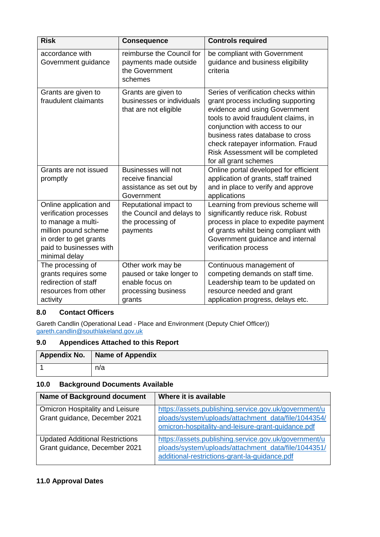| <b>Risk</b>                                                                                                                                                          | <b>Consequence</b>                                                                                | <b>Controls required</b>                                                                                                                                                                                                                                                                                                      |
|----------------------------------------------------------------------------------------------------------------------------------------------------------------------|---------------------------------------------------------------------------------------------------|-------------------------------------------------------------------------------------------------------------------------------------------------------------------------------------------------------------------------------------------------------------------------------------------------------------------------------|
| accordance with<br>Government guidance                                                                                                                               | reimburse the Council for<br>payments made outside<br>the Government<br>schemes                   | be compliant with Government<br>guidance and business eligibility<br>criteria                                                                                                                                                                                                                                                 |
| Grants are given to<br>fraudulent claimants                                                                                                                          | Grants are given to<br>businesses or individuals<br>that are not eligible                         | Series of verification checks within<br>grant process including supporting<br>evidence and using Government<br>tools to avoid fraudulent claims, in<br>conjunction with access to our<br>business rates database to cross<br>check ratepayer information. Fraud<br>Risk Assessment will be completed<br>for all grant schemes |
| Grants are not issued<br>promptly                                                                                                                                    | <b>Businesses will not</b><br>receive financial<br>assistance as set out by<br>Government         | Online portal developed for efficient<br>application of grants, staff trained<br>and in place to verify and approve<br>applications                                                                                                                                                                                           |
| Online application and<br>verification processes<br>to manage a multi-<br>million pound scheme<br>in order to get grants<br>paid to businesses with<br>minimal delay | Reputational impact to<br>the Council and delays to<br>the processing of<br>payments              | Learning from previous scheme will<br>significantly reduce risk. Robust<br>process in place to expedite payment<br>of grants whilst being compliant with<br>Government guidance and internal<br>verification process                                                                                                          |
| The processing of<br>grants requires some<br>redirection of staff<br>resources from other<br>activity                                                                | Other work may be<br>paused or take longer to<br>enable focus on<br>processing business<br>grants | Continuous management of<br>competing demands on staff time.<br>Leadership team to be updated on<br>resource needed and grant<br>application progress, delays etc.                                                                                                                                                            |

## **8.0 Contact Officers**

Gareth Candlin (Operational Lead - Place and Environment (Deputy Chief Officer)) [gareth.candlin@southlakeland.gov.uk](mailto:gareth.candlin@southlakeland.gov.uk)

## **9.0 Appendices Attached to this Report**

| Appendix No.   Name of Appendix |
|---------------------------------|
| n/a                             |

## **10.0 Background Documents Available**

| <b>Name of Background document</b>                                      | Where it is available                                                                                                                                              |
|-------------------------------------------------------------------------|--------------------------------------------------------------------------------------------------------------------------------------------------------------------|
| Omicron Hospitality and Leisure<br>Grant guidance, December 2021        | https://assets.publishing.service.gov.uk/government/u<br>ploads/system/uploads/attachment_data/file/1044354/<br>omicron-hospitality-and-leisure-grant-guidance.pdf |
| <b>Updated Additional Restrictions</b><br>Grant guidance, December 2021 | https://assets.publishing.service.gov.uk/government/u<br>ploads/system/uploads/attachment_data/file/1044351/<br>additional-restrictions-grant-la-guidance.pdf      |

## **11.0 Approval Dates**